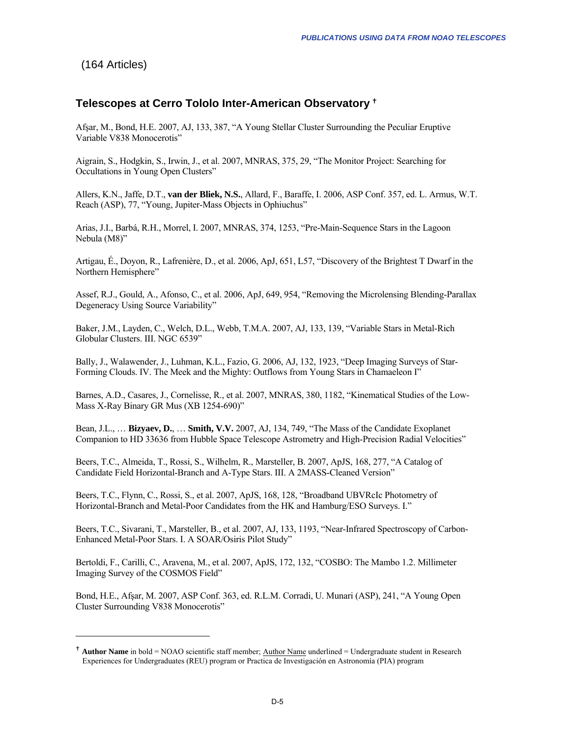## <span id="page-0-0"></span>(164 Articles)

1

## **Telescopes at Cerro Tololo Inter-American Observatory** [g](#page-0-0)

Afşar, M., Bond, H.E. 2007, AJ, 133, 387, "A Young Stellar Cluster Surrounding the Peculiar Eruptive Variable V838 Monocerotis"

Aigrain, S., Hodgkin, S., Irwin, J., et al. 2007, MNRAS, 375, 29, "The Monitor Project: Searching for Occultations in Young Open Clusters"

Allers, K.N., Jaffe, D.T., **van der Bliek, N.S.**, Allard, F., Baraffe, I. 2006, ASP Conf. 357, ed. L. Armus, W.T. Reach (ASP), 77, "Young, Jupiter-Mass Objects in Ophiuchus"

Arias, J.I., Barbá, R.H., Morrel, I. 2007, MNRAS, 374, 1253, "Pre-Main-Sequence Stars in the Lagoon Nebula (M8)"

Artigau, É., Doyon, R., Lafrenière, D., et al. 2006, ApJ, 651, L57, "Discovery of the Brightest T Dwarf in the Northern Hemisphere"

Assef, R.J., Gould, A., Afonso, C., et al. 2006, ApJ, 649, 954, "Removing the Microlensing Blending-Parallax Degeneracy Using Source Variability"

Baker, J.M., Layden, C., Welch, D.L., Webb, T.M.A. 2007, AJ, 133, 139, "Variable Stars in Metal-Rich Globular Clusters. III. NGC 6539"

Bally, J., Walawender, J., Luhman, K.L., Fazio, G. 2006, AJ, 132, 1923, "Deep Imaging Surveys of Star-Forming Clouds. IV. The Meek and the Mighty: Outflows from Young Stars in Chamaeleon I"

Barnes, A.D., Casares, J., Cornelisse, R., et al. 2007, MNRAS, 380, 1182, "Kinematical Studies of the Low-Mass X-Ray Binary GR Mus (XB 1254-690)"

Bean, J.L., … **Bizyaev, D.**, … **Smith, V.V.** 2007, AJ, 134, 749, "The Mass of the Candidate Exoplanet Companion to HD 33636 from Hubble Space Telescope Astrometry and High-Precision Radial Velocities"

Beers, T.C., Almeida, T., Rossi, S., Wilhelm, R., Marsteller, B. 2007, ApJS, 168, 277, "A Catalog of Candidate Field Horizontal-Branch and A-Type Stars. III. A 2MASS-Cleaned Version"

Beers, T.C., Flynn, C., Rossi, S., et al. 2007, ApJS, 168, 128, "Broadband UBVRcIc Photometry of Horizontal-Branch and Metal-Poor Candidates from the HK and Hamburg/ESO Surveys. I."

Beers, T.C., Sivarani, T., Marsteller, B., et al. 2007, AJ, 133, 1193, "Near-Infrared Spectroscopy of Carbon-Enhanced Metal-Poor Stars. I. A SOAR/Osiris Pilot Study"

Bertoldi, F., Carilli, C., Aravena, M., et al. 2007, ApJS, 172, 132, "COSBO: The Mambo 1.2. Millimeter Imaging Survey of the COSMOS Field"

Bond, H.E., Afşar, M. 2007, ASP Conf. 363, ed. R.L.M. Corradi, U. Munari (ASP), 241, "A Young Open Cluster Surrounding V838 Monocerotis"

<sup>&</sup>lt;sup>†</sup> Author Name in bold = NOAO scientific staff member; <u>Author Name</u> underlined = Undergraduate student in Research Experiences for Undergraduates (REU) program or Practica de Investigación en Astronomía (PIA) program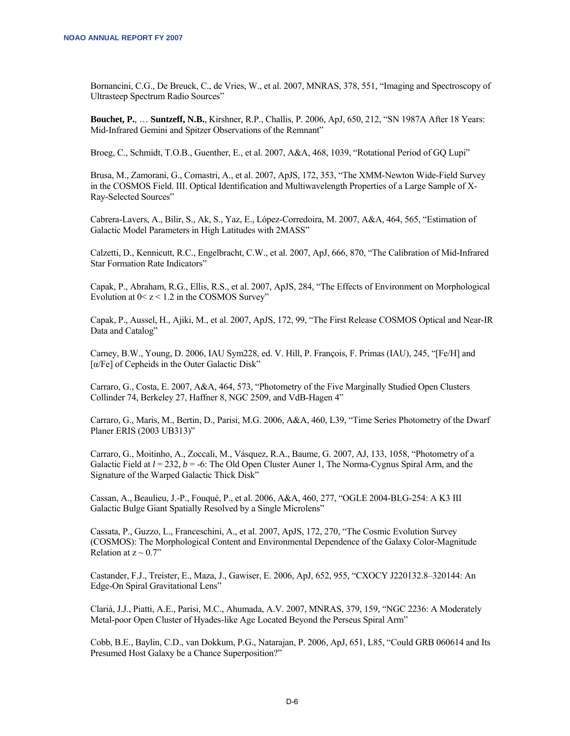Bornancini, C.G., De Breuck, C., de Vries, W., et al. 2007, MNRAS, 378, 551, "Imaging and Spectroscopy of Ultrasteep Spectrum Radio Sources"

**Bouchet, P.**, … **Suntzeff, N.B.**, Kirshner, R.P., Challis, P. 2006, ApJ, 650, 212, "SN 1987A After 18 Years: Mid-Infrared Gemini and Spitzer Observations of the Remnant"

Broeg, C., Schmidt, T.O.B., Guenther, E., et al. 2007, A&A, 468, 1039, "Rotational Period of GQ Lupi"

Brusa, M., Zamorani, G., Comastri, A., et al. 2007, ApJS, 172, 353, "The XMM-Newton Wide-Field Survey in the COSMOS Field. III. Optical Identification and Multiwavelength Properties of a Large Sample of X-Ray-Selected Sources"

Cabrera-Lavers, A., Bilir, S., Ak, S., Yaz, E., López-Corredoira, M. 2007, A&A, 464, 565, "Estimation of Galactic Model Parameters in High Latitudes with 2MASS"

Calzetti, D., Kennicutt, R.C., Engelbracht, C.W., et al. 2007, ApJ, 666, 870, "The Calibration of Mid-Infrared Star Formation Rate Indicators"

Capak, P., Abraham, R.G., Ellis, R.S., et al. 2007, ApJS, 284, "The Effects of Environment on Morphological Evolution at  $0 < z < 1.2$  in the COSMOS Survey"

Capak, P., Aussel, H., Ajiki, M., et al. 2007, ApJS, 172, 99, "The First Release COSMOS Optical and Near-IR Data and Catalog"

Carney, B.W., Young, D. 2006, IAU Sym228, ed. V. Hill, P. François, F. Primas (IAU), 245, "[Fe/H] and [α/Fe] of Cepheids in the Outer Galactic Disk"

Carraro, G., Costa, E. 2007, A&A, 464, 573, "Photometry of the Five Marginally Studied Open Clusters Collinder 74, Berkeley 27, Haffner 8, NGC 2509, and VdB-Hagen 4"

Carraro, G., Maris, M., Bertin, D., Parisi, M.G. 2006, A&A, 460, L39, "Time Series Photometry of the Dwarf Planer ERIS (2003 UB313)"

Carraro, G., Moitinho, A., Zoccali, M., Vásquez, R.A., Baume, G. 2007, AJ, 133, 1058, "Photometry of a Galactic Field at  $l = 232$ ,  $b = -6$ : The Old Open Cluster Auner 1, The Norma-Cygnus Spiral Arm, and the Signature of the Warped Galactic Thick Disk"

Cassan, A., Beaulieu, J.-P., Fouqué, P., et al. 2006, A&A, 460, 277, "OGLE 2004-BLG-254: A K3 III Galactic Bulge Giant Spatially Resolved by a Single Microlens"

Cassata, P., Guzzo, L., Franceschini, A., et al. 2007, ApJS, 172, 270, "The Cosmic Evolution Survey (COSMOS): The Morphological Content and Environmental Dependence of the Galaxy Color-Magnitude Relation at  $z \sim 0.7$ "

Castander, F.J., Treister, E., Maza, J., Gawiser, E. 2006, ApJ, 652, 955, "CXOCY J220132.8–320144: An Edge-On Spiral Gravitational Lens"

Clariá, J.J., Piatti, A.E., Parisi, M.C., Ahumada, A.V. 2007, MNRAS, 379, 159, "NGC 2236: A Moderately Metal-poor Open Cluster of Hyades-like Age Located Beyond the Perseus Spiral Arm"

Cobb, B.E., Baylin, C.D., van Dokkum, P.G., Natarajan, P. 2006, ApJ, 651, L85, "Could GRB 060614 and Its Presumed Host Galaxy be a Chance Superposition?"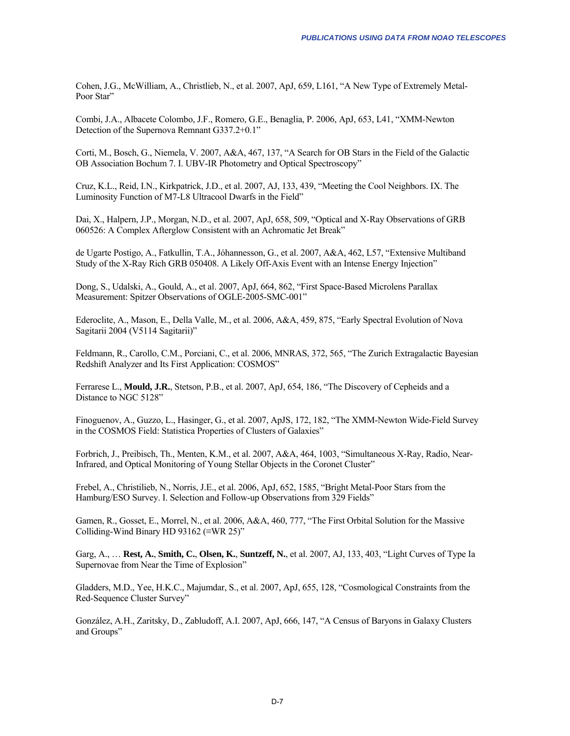Cohen, J.G., McWilliam, A., Christlieb, N., et al. 2007, ApJ, 659, L161, "A New Type of Extremely Metal-Poor Star"

Combi, J.A., Albacete Colombo, J.F., Romero, G.E., Benaglia, P. 2006, ApJ, 653, L41, "XMM-Newton Detection of the Supernova Remnant G337.2+0.1"

Corti, M., Bosch, G., Niemela, V. 2007, A&A, 467, 137, "A Search for OB Stars in the Field of the Galactic OB Association Bochum 7. I. UBV-IR Photometry and Optical Spectroscopy"

Cruz, K.L., Reid, I.N., Kirkpatrick, J.D., et al. 2007, AJ, 133, 439, "Meeting the Cool Neighbors. IX. The Luminosity Function of M7-L8 Ultracool Dwarfs in the Field"

Dai, X., Halpern, J.P., Morgan, N.D., et al. 2007, ApJ, 658, 509, "Optical and X-Ray Observations of GRB 060526: A Complex Afterglow Consistent with an Achromatic Jet Break"

de Ugarte Postigo, A., Fatkullin, T.A., Jóhannesson, G., et al. 2007, A&A, 462, L57, "Extensive Multiband Study of the X-Ray Rich GRB 050408. A Likely Off-Axis Event with an Intense Energy Injection"

Dong, S., Udalski, A., Gould, A., et al. 2007, ApJ, 664, 862, "First Space-Based Microlens Parallax Measurement: Spitzer Observations of OGLE-2005-SMC-001"

Ederoclite, A., Mason, E., Della Valle, M., et al. 2006, A&A, 459, 875, "Early Spectral Evolution of Nova Sagitarii 2004 (V5114 Sagitarii)"

Feldmann, R., Carollo, C.M., Porciani, C., et al. 2006, MNRAS, 372, 565, "The Zurich Extragalactic Bayesian Redshift Analyzer and Its First Application: COSMOS"

Ferrarese L., **Mould, J.R.**, Stetson, P.B., et al. 2007, ApJ, 654, 186, "The Discovery of Cepheids and a Distance to NGC 5128"

Finoguenov, A., Guzzo, L., Hasinger, G., et al. 2007, ApJS, 172, 182, "The XMM-Newton Wide-Field Survey in the COSMOS Field: Statistica Properties of Clusters of Galaxies"

Forbrich, J., Preibisch, Th., Menten, K.M., et al. 2007, A&A, 464, 1003, "Simultaneous X-Ray, Radio, Near-Infrared, and Optical Monitoring of Young Stellar Objects in the Coronet Cluster"

Frebel, A., Christilieb, N., Norris, J.E., et al. 2006, ApJ, 652, 1585, "Bright Metal-Poor Stars from the Hamburg/ESO Survey. I. Selection and Follow-up Observations from 329 Fields"

Gamen, R., Gosset, E., Morrel, N., et al. 2006, A&A, 460, 777, "The First Orbital Solution for the Massive Colliding-Wind Binary HD 93162 (≡WR 25)"

Garg, A., … **Rest, A.**, **Smith, C.**, **Olsen, K.**, **Suntzeff, N.**, et al. 2007, AJ, 133, 403, "Light Curves of Type Ia Supernovae from Near the Time of Explosion"

Gladders, M.D., Yee, H.K.C., Majumdar, S., et al. 2007, ApJ, 655, 128, "Cosmological Constraints from the Red-Sequence Cluster Survey"

González, A.H., Zaritsky, D., Zabludoff, A.I. 2007, ApJ, 666, 147, "A Census of Baryons in Galaxy Clusters and Groups"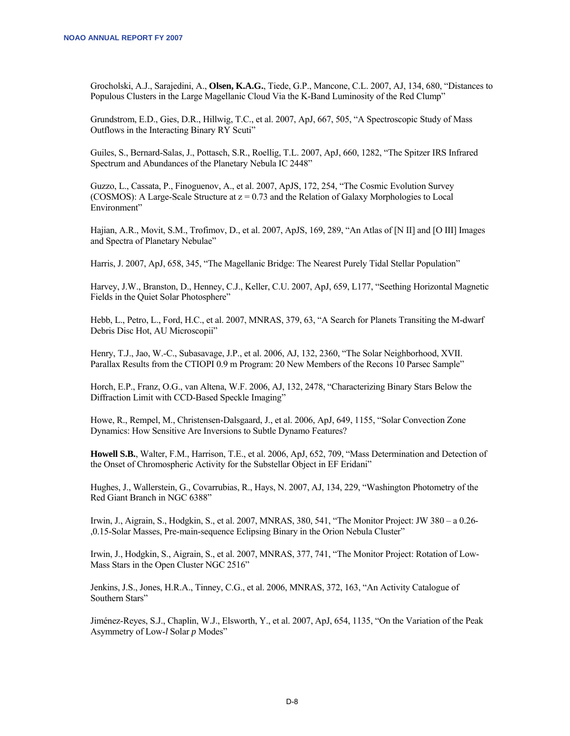Grocholski, A.J., Sarajedini, A., **Olsen, K.A.G.**, Tiede, G.P., Mancone, C.L. 2007, AJ, 134, 680, "Distances to Populous Clusters in the Large Magellanic Cloud Via the K-Band Luminosity of the Red Clump"

Grundstrom, E.D., Gies, D.R., Hillwig, T.C., et al. 2007, ApJ, 667, 505, "A Spectroscopic Study of Mass Outflows in the Interacting Binary RY Scuti"

Guiles, S., Bernard-Salas, J., Pottasch, S.R., Roellig, T.L. 2007, ApJ, 660, 1282, "The Spitzer IRS Infrared Spectrum and Abundances of the Planetary Nebula IC 2448"

Guzzo, L., Cassata, P., Finoguenov, A., et al. 2007, ApJS, 172, 254, "The Cosmic Evolution Survey (COSMOS): A Large-Scale Structure at  $z = 0.73$  and the Relation of Galaxy Morphologies to Local Environment"

Hajian, A.R., Movit, S.M., Trofimov, D., et al. 2007, ApJS, 169, 289, "An Atlas of [N II] and [O III] Images and Spectra of Planetary Nebulae"

Harris, J. 2007, ApJ, 658, 345, "The Magellanic Bridge: The Nearest Purely Tidal Stellar Population"

Harvey, J.W., Branston, D., Henney, C.J., Keller, C.U. 2007, ApJ, 659, L177, "Seething Horizontal Magnetic Fields in the Quiet Solar Photosphere"

Hebb, L., Petro, L., Ford, H.C., et al. 2007, MNRAS, 379, 63, "A Search for Planets Transiting the M-dwarf Debris Disc Hot, AU Microscopii"

Henry, T.J., Jao, W.-C., Subasavage, J.P., et al. 2006, AJ, 132, 2360, "The Solar Neighborhood, XVII. Parallax Results from the CTIOPI 0.9 m Program: 20 New Members of the Recons 10 Parsec Sample"

Horch, E.P., Franz, O.G., van Altena, W.F. 2006, AJ, 132, 2478, "Characterizing Binary Stars Below the Diffraction Limit with CCD-Based Speckle Imaging"

Howe, R., Rempel, M., Christensen-Dalsgaard, J., et al. 2006, ApJ, 649, 1155, "Solar Convection Zone Dynamics: How Sensitive Are Inversions to Subtle Dynamo Features?

**Howell S.B.**, Walter, F.M., Harrison, T.E., et al. 2006, ApJ, 652, 709, "Mass Determination and Detection of the Onset of Chromospheric Activity for the Substellar Object in EF Eridani"

Hughes, J., Wallerstein, G., Covarrubias, R., Hays, N. 2007, AJ, 134, 229, "Washington Photometry of the Red Giant Branch in NGC 6388"

Irwin, J., Aigrain, S., Hodgkin, S., et al. 2007, MNRAS, 380, 541, "The Monitor Project: JW 380 – a 0.26- ,0.15-Solar Masses, Pre-main-sequence Eclipsing Binary in the Orion Nebula Cluster"

Irwin, J., Hodgkin, S., Aigrain, S., et al. 2007, MNRAS, 377, 741, "The Monitor Project: Rotation of Low-Mass Stars in the Open Cluster NGC 2516"

Jenkins, J.S., Jones, H.R.A., Tinney, C.G., et al. 2006, MNRAS, 372, 163, "An Activity Catalogue of Southern Stars"

Jiménez-Reyes, S.J., Chaplin, W.J., Elsworth, Y., et al. 2007, ApJ, 654, 1135, "On the Variation of the Peak Asymmetry of Low-*l* Solar *p* Modes"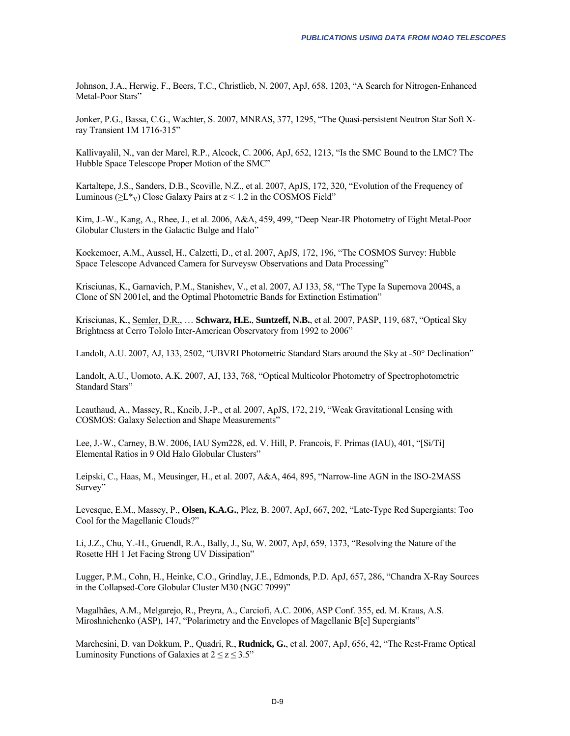Johnson, J.A., Herwig, F., Beers, T.C., Christlieb, N. 2007, ApJ, 658, 1203, "A Search for Nitrogen-Enhanced Metal-Poor Stars"

Jonker, P.G., Bassa, C.G., Wachter, S. 2007, MNRAS, 377, 1295, "The Quasi-persistent Neutron Star Soft Xray Transient 1M 1716-315"

Kallivayalil, N., van der Marel, R.P., Alcock, C. 2006, ApJ, 652, 1213, "Is the SMC Bound to the LMC? The Hubble Space Telescope Proper Motion of the SMC"

Kartaltepe, J.S., Sanders, D.B., Scoville, N.Z., et al. 2007, ApJS, 172, 320, "Evolution of the Frequency of Luminous ( $\geq$ L\*<sub>V</sub>) Close Galaxy Pairs at  $z$  < 1.2 in the COSMOS Field"

Kim, J.-W., Kang, A., Rhee, J., et al. 2006, A&A, 459, 499, "Deep Near-IR Photometry of Eight Metal-Poor Globular Clusters in the Galactic Bulge and Halo"

Koekemoer, A.M., Aussel, H., Calzetti, D., et al. 2007, ApJS, 172, 196, "The COSMOS Survey: Hubble Space Telescope Advanced Camera for Surveysw Observations and Data Processing"

Krisciunas, K., Garnavich, P.M., Stanishev, V., et al. 2007, AJ 133, 58, "The Type Ia Supernova 2004S, a Clone of SN 2001el, and the Optimal Photometric Bands for Extinction Estimation"

Krisciunas, K., Semler, D.R., … **Schwarz, H.E.**, **Suntzeff, N.B.**, et al. 2007, PASP, 119, 687, "Optical Sky Brightness at Cerro Tololo Inter-American Observatory from 1992 to 2006"

Landolt, A.U. 2007, AJ, 133, 2502, "UBVRI Photometric Standard Stars around the Sky at -50° Declination"

Landolt, A.U., Uomoto, A.K. 2007, AJ, 133, 768, "Optical Multicolor Photometry of Spectrophotometric Standard Stars"

Leauthaud, A., Massey, R., Kneib, J.-P., et al. 2007, ApJS, 172, 219, "Weak Gravitational Lensing with COSMOS: Galaxy Selection and Shape Measurements"

Lee, J.-W., Carney, B.W. 2006, IAU Sym228, ed. V. Hill, P. Francois, F. Primas (IAU), 401, "[Si/Ti] Elemental Ratios in 9 Old Halo Globular Clusters"

Leipski, C., Haas, M., Meusinger, H., et al. 2007, A&A, 464, 895, "Narrow-line AGN in the ISO-2MASS Survey"

Levesque, E.M., Massey, P., **Olsen, K.A.G.**, Plez, B. 2007, ApJ, 667, 202, "Late-Type Red Supergiants: Too Cool for the Magellanic Clouds?"

Li, J.Z., Chu, Y.-H., Gruendl, R.A., Bally, J., Su, W. 2007, ApJ, 659, 1373, "Resolving the Nature of the Rosette HH 1 Jet Facing Strong UV Dissipation"

Lugger, P.M., Cohn, H., Heinke, C.O., Grindlay, J.E., Edmonds, P.D. ApJ, 657, 286, "Chandra X-Ray Sources in the Collapsed-Core Globular Cluster M30 (NGC 7099)"

Magalhães, A.M., Melgarejo, R., Preyra, A., Carciofi, A.C. 2006, ASP Conf. 355, ed. M. Kraus, A.S. Miroshnichenko (ASP), 147, "Polarimetry and the Envelopes of Magellanic B[e] Supergiants"

Marchesini, D. van Dokkum, P., Quadri, R., **Rudnick, G.**, et al. 2007, ApJ, 656, 42, "The Rest-Frame Optical Luminosity Functions of Galaxies at  $2 \le z \le 3.5$ "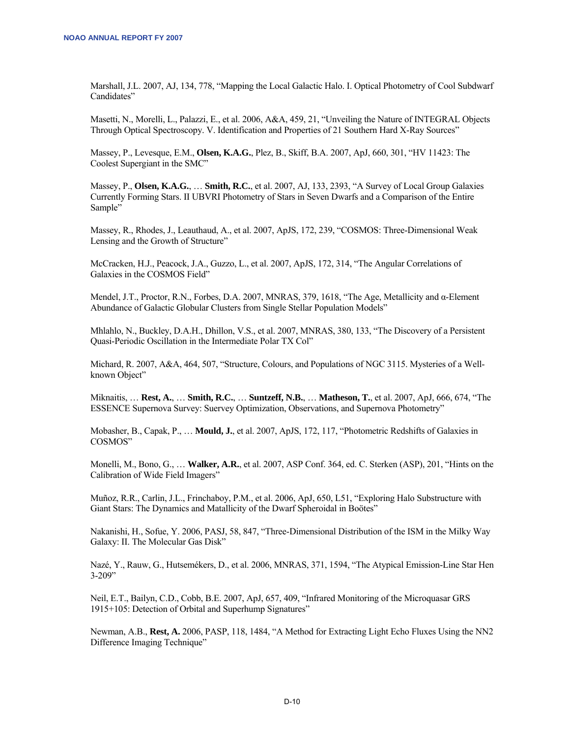Marshall, J.L. 2007, AJ, 134, 778, "Mapping the Local Galactic Halo. I. Optical Photometry of Cool Subdwarf Candidates"

Masetti, N., Morelli, L., Palazzi, E., et al. 2006, A&A, 459, 21, "Unveiling the Nature of INTEGRAL Objects Through Optical Spectroscopy. V. Identification and Properties of 21 Southern Hard X-Ray Sources"

Massey, P., Levesque, E.M., **Olsen, K.A.G.**, Plez, B., Skiff, B.A. 2007, ApJ, 660, 301, "HV 11423: The Coolest Supergiant in the SMC"

Massey, P., **Olsen, K.A.G.**, … **Smith, R.C.**, et al. 2007, AJ, 133, 2393, "A Survey of Local Group Galaxies Currently Forming Stars. II UBVRI Photometry of Stars in Seven Dwarfs and a Comparison of the Entire Sample"

Massey, R., Rhodes, J., Leauthaud, A., et al. 2007, ApJS, 172, 239, "COSMOS: Three-Dimensional Weak Lensing and the Growth of Structure"

McCracken, H.J., Peacock, J.A., Guzzo, L., et al. 2007, ApJS, 172, 314, "The Angular Correlations of Galaxies in the COSMOS Field"

Mendel, J.T., Proctor, R.N., Forbes, D.A. 2007, MNRAS, 379, 1618, "The Age, Metallicity and α-Element Abundance of Galactic Globular Clusters from Single Stellar Population Models"

Mhlahlo, N., Buckley, D.A.H., Dhillon, V.S., et al. 2007, MNRAS, 380, 133, "The Discovery of a Persistent Quasi-Periodic Oscillation in the Intermediate Polar TX Col"

Michard, R. 2007, A&A, 464, 507, "Structure, Colours, and Populations of NGC 3115. Mysteries of a Wellknown Object"

Miknaitis, … **Rest, A.**, … **Smith, R.C.**, … **Suntzeff, N.B.**, … **Matheson, T.**, et al. 2007, ApJ, 666, 674, "The ESSENCE Supernova Survey: Suervey Optimization, Observations, and Supernova Photometry"

Mobasher, B., Capak, P., … **Mould, J.**, et al. 2007, ApJS, 172, 117, "Photometric Redshifts of Galaxies in COSMOS"

Monelli, M., Bono, G., … **Walker, A.R.**, et al. 2007, ASP Conf. 364, ed. C. Sterken (ASP), 201, "Hints on the Calibration of Wide Field Imagers"

Muñoz, R.R., Carlin, J.L., Frinchaboy, P.M., et al. 2006, ApJ, 650, L51, "Exploring Halo Substructure with Giant Stars: The Dynamics and Matallicity of the Dwarf Spheroidal in Boötes"

Nakanishi, H., Sofue, Y. 2006, PASJ, 58, 847, "Three-Dimensional Distribution of the ISM in the Milky Way Galaxy: II. The Molecular Gas Disk"

Nazé, Y., Rauw, G., Hutsemékers, D., et al. 2006, MNRAS, 371, 1594, "The Atypical Emission-Line Star Hen  $3 - 209"$ 

Neil, E.T., Bailyn, C.D., Cobb, B.E. 2007, ApJ, 657, 409, "Infrared Monitoring of the Microquasar GRS 1915+105: Detection of Orbital and Superhump Signatures"

Newman, A.B., **Rest, A.** 2006, PASP, 118, 1484, "A Method for Extracting Light Echo Fluxes Using the NN2 Difference Imaging Technique"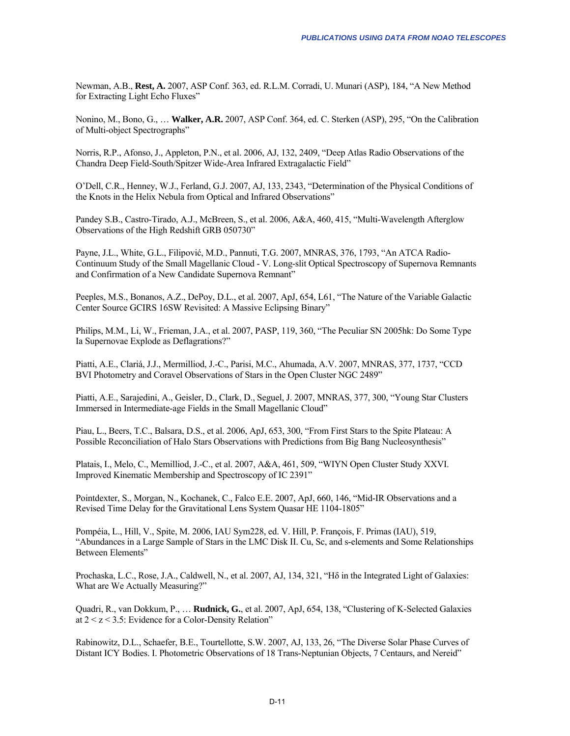Newman, A.B., **Rest, A.** 2007, ASP Conf. 363, ed. R.L.M. Corradi, U. Munari (ASP), 184, "A New Method for Extracting Light Echo Fluxes"

Nonino, M., Bono, G., … **Walker, A.R.** 2007, ASP Conf. 364, ed. C. Sterken (ASP), 295, "On the Calibration of Multi-object Spectrographs"

Norris, R.P., Afonso, J., Appleton, P.N., et al. 2006, AJ, 132, 2409, "Deep Atlas Radio Observations of the Chandra Deep Field-South/Spitzer Wide-Area Infrared Extragalactic Field"

O'Dell, C.R., Henney, W.J., Ferland, G.J. 2007, AJ, 133, 2343, "Determination of the Physical Conditions of the Knots in the Helix Nebula from Optical and Infrared Observations"

Pandey S.B., Castro-Tirado, A.J., McBreen, S., et al. 2006, A&A, 460, 415, "Multi-Wavelength Afterglow Observations of the High Redshift GRB 050730"

Payne, J.L., White, G.L., Filipović, M.D., Pannuti, T.G. 2007, MNRAS, 376, 1793, "An ATCA Radio-Continuum Study of the Small Magellanic Cloud - V. Long-slit Optical Spectroscopy of Supernova Remnants and Confirmation of a New Candidate Supernova Remnant"

Peeples, M.S., Bonanos, A.Z., DePoy, D.L., et al. 2007, ApJ, 654, L61, "The Nature of the Variable Galactic Center Source GCIRS 16SW Revisited: A Massive Eclipsing Binary"

Philips, M.M., Li, W., Frieman, J.A., et al. 2007, PASP, 119, 360, "The Peculiar SN 2005hk: Do Some Type Ia Supernovae Explode as Deflagrations?"

Piatti, A.E., Clariá, J.J., Mermilliod, J.-C., Parisi, M.C., Ahumada, A.V. 2007, MNRAS, 377, 1737, "CCD BVI Photometry and Coravel Observations of Stars in the Open Cluster NGC 2489"

Piatti, A.E., Sarajedini, A., Geisler, D., Clark, D., Seguel, J. 2007, MNRAS, 377, 300, "Young Star Clusters Immersed in Intermediate-age Fields in the Small Magellanic Cloud"

Piau, L., Beers, T.C., Balsara, D.S., et al. 2006, ApJ, 653, 300, "From First Stars to the Spite Plateau: A Possible Reconciliation of Halo Stars Observations with Predictions from Big Bang Nucleosynthesis"

Platais, I., Melo, C., Memilliod, J.-C., et al. 2007, A&A, 461, 509, "WIYN Open Cluster Study XXVI. Improved Kinematic Membership and Spectroscopy of IC 2391"

Pointdexter, S., Morgan, N., Kochanek, C., Falco E.E. 2007, ApJ, 660, 146, "Mid-IR Observations and a Revised Time Delay for the Gravitational Lens System Quasar HE 1104-1805"

Pompéia, L., Hill, V., Spite, M. 2006, IAU Sym228, ed. V. Hill, P. François, F. Primas (IAU), 519, "Abundances in a Large Sample of Stars in the LMC Disk II. Cu, Sc, and s-elements and Some Relationships Between Elements"

Prochaska, L.C., Rose, J.A., Caldwell, N., et al. 2007, AJ, 134, 321, "Hδ in the Integrated Light of Galaxies: What are We Actually Measuring?"

Quadri, R., van Dokkum, P., … **Rudnick, G.**, et al. 2007, ApJ, 654, 138, "Clustering of K-Selected Galaxies at  $2 < z < 3.5$ : Evidence for a Color-Density Relation"

Rabinowitz, D.L., Schaefer, B.E., Tourtellotte, S.W. 2007, AJ, 133, 26, "The Diverse Solar Phase Curves of Distant ICY Bodies. I. Photometric Observations of 18 Trans-Neptunian Objects, 7 Centaurs, and Nereid"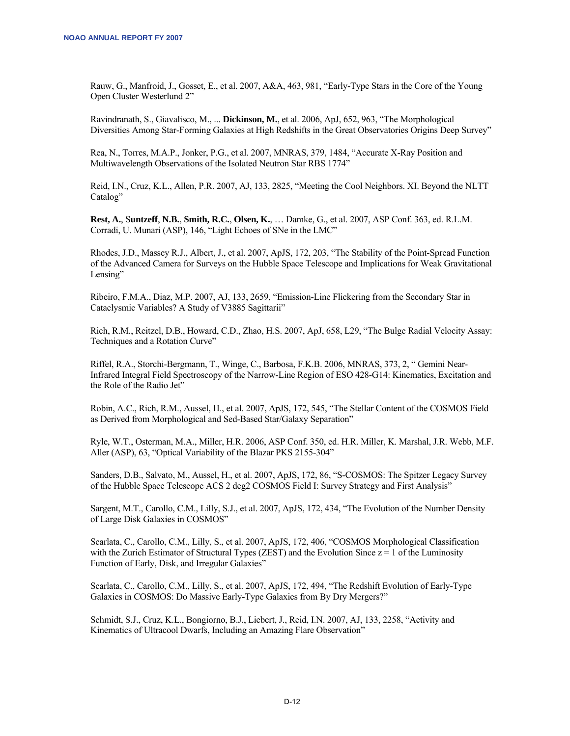Rauw, G., Manfroid, J., Gosset, E., et al. 2007, A&A, 463, 981, "Early-Type Stars in the Core of the Young Open Cluster Westerlund 2"

Ravindranath, S., Giavalisco, M., ... **Dickinson, M.**, et al. 2006, ApJ, 652, 963, "The Morphological Diversities Among Star-Forming Galaxies at High Redshifts in the Great Observatories Origins Deep Survey"

Rea, N., Torres, M.A.P., Jonker, P.G., et al. 2007, MNRAS, 379, 1484, "Accurate X-Ray Position and Multiwavelength Observations of the Isolated Neutron Star RBS 1774"

Reid, I.N., Cruz, K.L., Allen, P.R. 2007, AJ, 133, 2825, "Meeting the Cool Neighbors. XI. Beyond the NLTT Catalog"

**Rest, A.**, S**untzeff**, **N.B.**, **Smith, R.C.**, **Olsen, K.**, … Damke, G., et al. 2007, ASP Conf. 363, ed. R.L.M. Corradi, U. Munari (ASP), 146, "Light Echoes of SNe in the LMC"

Rhodes, J.D., Massey R.J., Albert, J., et al. 2007, ApJS, 172, 203, "The Stability of the Point-Spread Function of the Advanced Camera for Surveys on the Hubble Space Telescope and Implications for Weak Gravitational Lensing"

Ribeiro, F.M.A., Diaz, M.P. 2007, AJ, 133, 2659, "Emission-Line Flickering from the Secondary Star in Cataclysmic Variables? A Study of V3885 Sagittarii"

Rich, R.M., Reitzel, D.B., Howard, C.D., Zhao, H.S. 2007, ApJ, 658, L29, "The Bulge Radial Velocity Assay: Techniques and a Rotation Curve"

Riffel, R.A., Storchi-Bergmann, T., Winge, C., Barbosa, F.K.B. 2006, MNRAS, 373, 2, " Gemini Near-Infrared Integral Field Spectroscopy of the Narrow-Line Region of ESO 428-G14: Kinematics, Excitation and the Role of the Radio Jet"

Robin, A.C., Rich, R.M., Aussel, H., et al. 2007, ApJS, 172, 545, "The Stellar Content of the COSMOS Field as Derived from Morphological and Sed-Based Star/Galaxy Separation"

Ryle, W.T., Osterman, M.A., Miller, H.R. 2006, ASP Conf. 350, ed. H.R. Miller, K. Marshal, J.R. Webb, M.F. Aller (ASP), 63, "Optical Variability of the Blazar PKS 2155-304"

Sanders, D.B., Salvato, M., Aussel, H., et al. 2007, ApJS, 172, 86, "S-COSMOS: The Spitzer Legacy Survey of the Hubble Space Telescope ACS 2 deg2 COSMOS Field I: Survey Strategy and First Analysis"

Sargent, M.T., Carollo, C.M., Lilly, S.J., et al. 2007, ApJS, 172, 434, "The Evolution of the Number Density of Large Disk Galaxies in COSMOS"

Scarlata, C., Carollo, C.M., Lilly, S., et al. 2007, ApJS, 172, 406, "COSMOS Morphological Classification with the Zurich Estimator of Structural Types (ZEST) and the Evolution Since  $z = 1$  of the Luminosity Function of Early, Disk, and Irregular Galaxies"

Scarlata, C., Carollo, C.M., Lilly, S., et al. 2007, ApJS, 172, 494, "The Redshift Evolution of Early-Type Galaxies in COSMOS: Do Massive Early-Type Galaxies from By Dry Mergers?"

Schmidt, S.J., Cruz, K.L., Bongiorno, B.J., Liebert, J., Reid, I.N. 2007, AJ, 133, 2258, "Activity and Kinematics of Ultracool Dwarfs, Including an Amazing Flare Observation"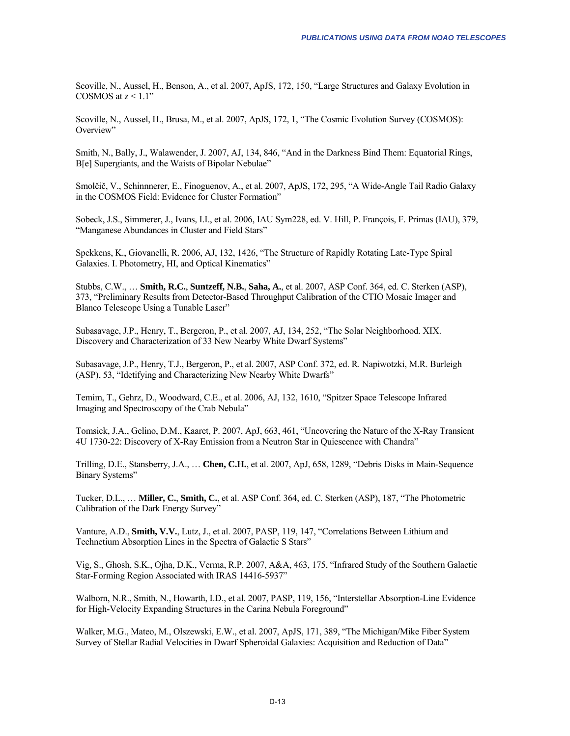Scoville, N., Aussel, H., Benson, A., et al. 2007, ApJS, 172, 150, "Large Structures and Galaxy Evolution in COSMOS at  $z \leq 1.1$ "

Scoville, N., Aussel, H., Brusa, M., et al. 2007, ApJS, 172, 1, "The Cosmic Evolution Survey (COSMOS): Overview"

Smith, N., Bally, J., Walawender, J. 2007, AJ, 134, 846, "And in the Darkness Bind Them: Equatorial Rings, B[e] Supergiants, and the Waists of Bipolar Nebulae"

Smolčič, V., Schinnnerer, E., Finoguenov, A., et al. 2007, ApJS, 172, 295, "A Wide-Angle Tail Radio Galaxy in the COSMOS Field: Evidence for Cluster Formation"

Sobeck, J.S., Simmerer, J., Ivans, I.I., et al. 2006, IAU Sym228, ed. V. Hill, P. François, F. Primas (IAU), 379, "Manganese Abundances in Cluster and Field Stars"

Spekkens, K., Giovanelli, R. 2006, AJ, 132, 1426, "The Structure of Rapidly Rotating Late-Type Spiral Galaxies. I. Photometry, HI, and Optical Kinematics"

Stubbs, C.W., … **Smith, R.C.**, **Suntzeff, N.B.**, **Saha, A.**, et al. 2007, ASP Conf. 364, ed. C. Sterken (ASP), 373, "Preliminary Results from Detector-Based Throughput Calibration of the CTIO Mosaic Imager and Blanco Telescope Using a Tunable Laser"

Subasavage, J.P., Henry, T., Bergeron, P., et al. 2007, AJ, 134, 252, "The Solar Neighborhood. XIX. Discovery and Characterization of 33 New Nearby White Dwarf Systems"

Subasavage, J.P., Henry, T.J., Bergeron, P., et al. 2007, ASP Conf. 372, ed. R. Napiwotzki, M.R. Burleigh (ASP), 53, "Idetifying and Characterizing New Nearby White Dwarfs"

Temim, T., Gehrz, D., Woodward, C.E., et al. 2006, AJ, 132, 1610, "Spitzer Space Telescope Infrared Imaging and Spectroscopy of the Crab Nebula"

Tomsick, J.A., Gelino, D.M., Kaaret, P. 2007, ApJ, 663, 461, "Uncovering the Nature of the X-Ray Transient 4U 1730-22: Discovery of X-Ray Emission from a Neutron Star in Quiescence with Chandra"

Trilling, D.E., Stansberry, J.A., … **Chen, C.H.**, et al. 2007, ApJ, 658, 1289, "Debris Disks in Main-Sequence Binary Systems"

Tucker, D.L., … **Miller, C.**, **Smith, C.**, et al. ASP Conf. 364, ed. C. Sterken (ASP), 187, "The Photometric Calibration of the Dark Energy Survey"

Vanture, A.D., **Smith, V.V.**, Lutz, J., et al. 2007, PASP, 119, 147, "Correlations Between Lithium and Technetium Absorption Lines in the Spectra of Galactic S Stars"

Vig, S., Ghosh, S.K., Ojha, D.K., Verma, R.P. 2007, A&A, 463, 175, "Infrared Study of the Southern Galactic Star-Forming Region Associated with IRAS 14416-5937"

Walborn, N.R., Smith, N., Howarth, I.D., et al. 2007, PASP, 119, 156, "Interstellar Absorption-Line Evidence for High-Velocity Expanding Structures in the Carina Nebula Foreground"

Walker, M.G., Mateo, M., Olszewski, E.W., et al. 2007, ApJS, 171, 389, "The Michigan/Mike Fiber System Survey of Stellar Radial Velocities in Dwarf Spheroidal Galaxies: Acquisition and Reduction of Data"